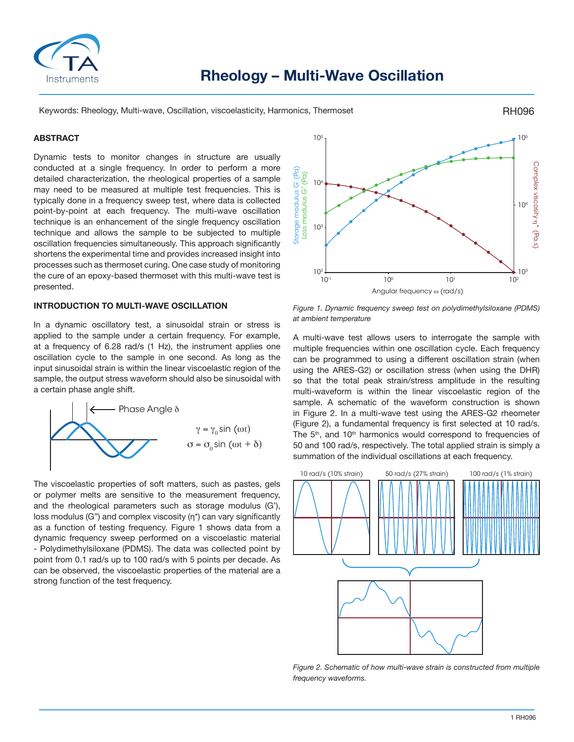

Keywords: Rheology, Multi-wave, Oscillation, viscoelasticity, Harmonics, Thermoset

## **ABSTRACT**

Dynamic tests to monitor changes in structure are usually conducted at a single frequency. In order to perform a more detailed characterization, the rheological properties of a sample may need to be measured at multiple test frequencies. This is typically done in a frequency sweep test, where data is collected point-by-point at each frequency. The multi-wave oscillation technique is an enhancement of the single frequency oscillation technique and allows the sample to be subjected to multiple oscillation frequencies simultaneously. This approach significantly shortens the experimental time and provides increased insight into processes such as thermoset curing. One case study of monitoring the cure of an epoxy-based thermoset with this multi-wave test is presented.

# **INTRODUCTION TO MULTI-WAVE OSCILLATION**

In a dynamic oscillatory test, a sinusoidal strain or stress is applied to the sample under a certain frequency. For example, at a frequency of 6.28 rad/s (1 Hz), the instrument applies one oscillation cycle to the sample in one second. As long as the input sinusoidal strain is within the linear viscoelastic region of the sample, the output stress waveform should also be sinusoidal with a certain phase angle shift.



The viscoelastic properties of soft matters, such as pastes, gels or polymer melts are sensitive to the measurement frequency, and the rheological parameters such as storage modulus (G'), loss modulus (G") and complex viscosity (η\*) can vary significantly as a function of testing frequency. Figure 1 shows data from a dynamic frequency sweep performed on a viscoelastic material - Polydimethylsiloxane (PDMS). The data was collected point by point from 0.1 rad/s up to 100 rad/s with 5 points per decade. As can be observed, the viscoelastic properties of the material are a strong function of the test frequency.



RH096

*Figure 1. Dynamic frequency sweep test on polydimethylsiloxane (PDMS) at ambient temperature*

A multi-wave test allows users to interrogate the sample with multiple frequencies within one oscillation cycle. Each frequency can be programmed to using a different oscillation strain (when using the ARES-G2) or oscillation stress (when using the DHR) so that the total peak strain/stress amplitude in the resulting multi-waveform is within the linear viscoelastic region of the sample. A schematic of the waveform construction is shown in Figure 2. In a multi-wave test using the ARES-G2 rheometer (Figure 2), a fundamental frequency is first selected at 10 rad/s. The 5<sup>th</sup>, and 10<sup>th</sup> harmonics would correspond to frequencies of 50 and 100 rad/s, respectively. The total applied strain is simply a summation of the individual oscillations at each frequency.



*Figure 2. Schematic of how multi-wave strain is constructed from multiple frequency waveforms.*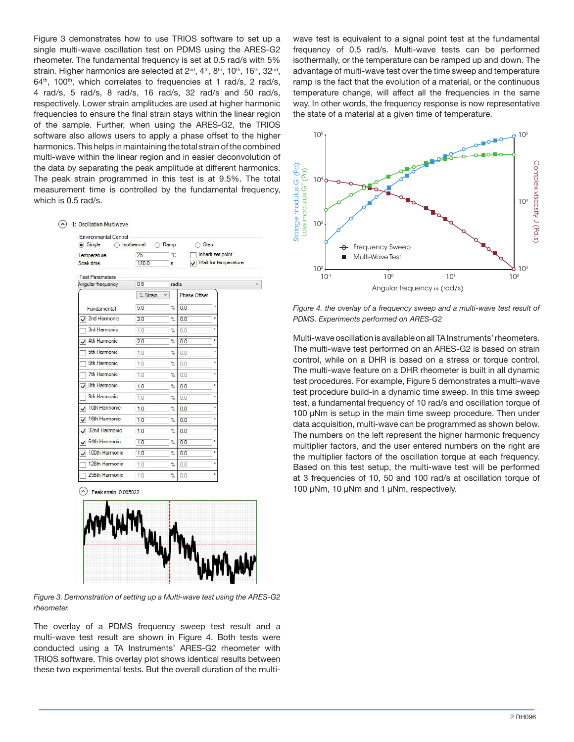Figure 3 demonstrates how to use TRIOS software to set up a single multi-wave oscillation test on PDMS using the ARES-G2 rheometer. The fundamental frequency is set at 0.5 rad/s with 5% strain. Higher harmonics are selected at 2<sup>nd</sup>, 4<sup>th</sup>, 8<sup>th</sup>, 10<sup>th</sup>, 16<sup>th</sup>, 32<sup>nd</sup>, 64<sup>th</sup>, 100<sup>th</sup>, which correlates to frequencies at 1 rad/s, 2 rad/s, 4 rad/s, 5 rad/s, 8 rad/s, 16 rad/s, 32 rad/s and 50 rad/s, respectively. Lower strain amplitudes are used at higher harmonic frequencies to ensure the final strain stays within the linear region of the sample. Further, when using the ARES-G2, the TRIOS software also allows users to apply a phase offset to the higher harmonics. This helps in maintaining the total strain of the combined multi-wave within the linear region and in easier deconvolution of the data by separating the peak amplitude at different harmonics. The peak strain programmed in this test is at 9.5%. The total measurement time is controlled by the fundamental frequency, which is 0.5 rad/s.

 $\widehat{(\wedge)}$  1: Oscillation Multiwave

| Temperature<br>Soak time                 | 25<br>120.0   | °C<br>$\mathbf{s}$ | Inherit set point<br>Wait for temperature |  |
|------------------------------------------|---------------|--------------------|-------------------------------------------|--|
| <b>Test Parameters</b>                   |               |                    |                                           |  |
| Angular frequency                        | 0.5           | rad/s              |                                           |  |
|                                          | % Strain<br>Ÿ |                    | <b>Phase Offset</b>                       |  |
| Fundamental                              | 5.0           | $\frac{1}{2}$      | ö<br>0.0                                  |  |
| 2nd Harmonic                             | 2.0           | $\%$               | ٠<br>0.0                                  |  |
| 3rd Harmonic                             | 1.0           | $\%$               | ۰<br>0.0                                  |  |
| $\sqrt{4th}$ Harmonic                    | 2.0           | $\%$               | ۰<br>0.0                                  |  |
| 5th Harmonic                             | 1.0           | $\%$               | ò.<br>0.0                                 |  |
| 6th Harmonic                             | 1.0           | %                  | ò<br>0.0                                  |  |
| 7th Harmonic                             | 1.0           | $\%$               | ÷<br>0.0                                  |  |
| 8th Harmonic                             | 1.0           | $\frac{9}{6}$      | ۰<br>0.0                                  |  |
| 9th Harmonic                             | 1.0           | %                  | ۰<br>0.0                                  |  |
| 10th Harmonic<br>√                       | 1.0           | $\frac{9}{4}$      | ۰<br>0.0                                  |  |
| 16th Harmonic<br>$\checkmark$            | 1.0           | %                  | ۰<br>0.0                                  |  |
| 32nd Harmonic<br>$\overline{\checkmark}$ | 1.0           | $\%$               | ۰<br>0.0                                  |  |
| 64th Harmonic<br>✓                       | 1.0           | %                  | ۰<br>0.0                                  |  |
| 100th Harmonic<br>✓                      | 1.0           | %                  | ۰<br>0.0                                  |  |
| 128th Harmonic                           | 1.0           | %                  | ö<br>0.0                                  |  |
| 256th Harmonic                           | 1.0           | %                  | ö<br>0.0                                  |  |

*Figure 3. Demonstration of setting up a Multi-wave test using the ARES-G2 rheometer.*

The overlay of a PDMS frequency sweep test result and a multi-wave test result are shown in Figure 4. Both tests were conducted using a TA Instruments' ARES-G2 rheometer with TRIOS software. This overlay plot shows identical results between these two experimental tests. But the overall duration of the multiwave test is equivalent to a signal point test at the fundamental frequency of 0.5 rad/s. Multi-wave tests can be performed isothermally, or the temperature can be ramped up and down. The advantage of multi-wave test over the time sweep and temperature ramp is the fact that the evolution of a material, or the continuous temperature change, will affect all the frequencies in the same way. In other words, the frequency response is now representative the state of a material at a given time of temperature.



*Figure 4. the overlay of a frequency sweep and a multi-wave test result of PDMS. Experiments performed on ARES-G2*

Multi-wave oscillation is available on all TA Instruments' rheometers. The multi-wave test performed on an ARES-G2 is based on strain control, while on a DHR is based on a stress or torque control. The multi-wave feature on a DHR rheometer is built in all dynamic test procedures. For example, Figure 5 demonstrates a multi-wave test procedure build-in a dynamic time sweep. In this time sweep test, a fundamental frequency of 10 rad/s and oscillation torque of 100 µNm is setup in the main time sweep procedure. Then under data acquisition, multi-wave can be programmed as shown below. The numbers on the left represent the higher harmonic frequency multiplier factors, and the user entered numbers on the right are the multiplier factors of the oscillation torque at each frequency. Based on this test setup, the multi-wave test will be performed at 3 frequencies of 10, 50 and 100 rad/s at oscillation torque of 100<br>  $\frac{10^{9}}{10^{9}}$ <br>  $\frac{9}{10^{9}}$ <br>  $\frac{10^{9}}{10^{9}}$ <br>  $\frac{10^{9}}{10^{9}}$ <br>  $\frac{10^{9}}{10^{9}}$ <br>  $\frac{10^{9}}{10^{9}}$ <br>  $\frac{10^{9}}{10^{9}}$ <br>  $\frac{10^{9}}{10^{9}}$ <br>  $\frac{10^{9}}{10^{9}}$ <br>  $\frac{10^{9}}{10^{9}}$ <br>  $\frac{10^{9}}{10^{9}}$ <br>  $\frac{10^{9}}{10^{9}}$ <br>  $\$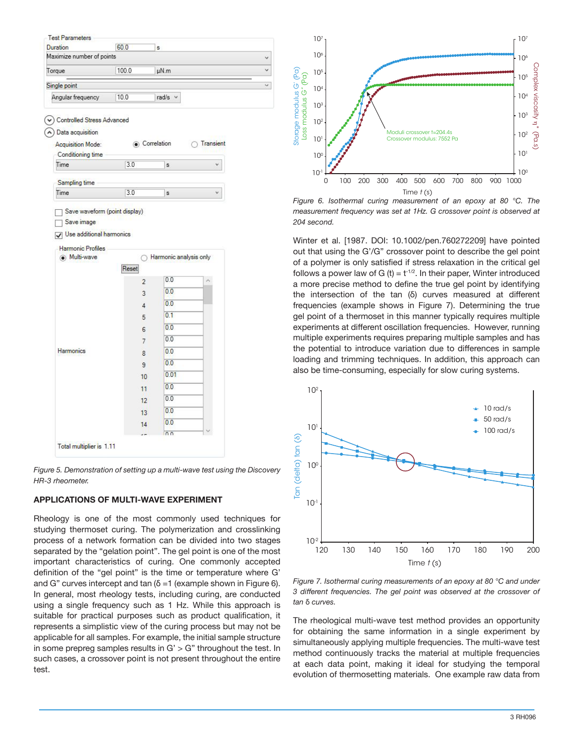

 $\ddot{\mathbf{v}}$ 

 $\check{\mathcal{A}}$ 

*Figure 5. Demonstration of setting up a multi-wave test using the Discovery HR-3 rheometer.*

# **APPLICATIONS OF MULTI-WAVE EXPERIMENT**

Rheology is one of the most commonly used techniques for studying thermoset curing. The polymerization and crosslinking process of a network formation can be divided into two stages separated by the "gelation point". The gel point is one of the most important characteristics of curing. One commonly accepted definition of the "gel point" is the time or temperature where G' and G" curves intercept and tan  $(\delta = 1)$  (example shown in Figure 6). In general, most rheology tests, including curing, are conducted using a single frequency such as 1 Hz. While this approach is suitable for practical purposes such as product qualification, it represents a simplistic view of the curing process but may not be applicable for all samples. For example, the initial sample structure in some prepreg samples results in  $G' > G''$  throughout the test. In such cases, a crossover point is not present throughout the entire test.



*Figure 6. Isothermal curing measurement of an epoxy at 80 °C. The measurement frequency was set at 1Hz. G crossover point is observed at 204 second.*

Winter et al. [1987. DOI: 10.1002/pen.760272209] have pointed out that using the G'/G" crossover point to describe the gel point of a polymer is only satisfied if stress relaxation in the critical gel follows a power law of G (t) =  $t^{-1/2}$ . In their paper, Winter introduced a more precise method to define the true gel point by identifying the intersection of the tan (δ) curves measured at different frequencies (example shows in Figure 7). Determining the true gel point of a thermoset in this manner typically requires multiple experiments at different oscillation frequencies. However, running multiple experiments requires preparing multiple samples and has the potential to introduce variation due to differences in sample loading and trimming techniques. In addition, this approach can also be time-consuming, especially for slow curing systems.



*Figure 7. Isothermal curing measurements of an epoxy at 80 °C and under 3 different frequencies. The gel point was observed at the crossover of tan* δ *curves.*

The rheological multi-wave test method provides an opportunity for obtaining the same information in a single experiment by simultaneously applying multiple frequencies. The multi-wave test method continuously tracks the material at multiple frequencies at each data point, making it ideal for studying the temporal